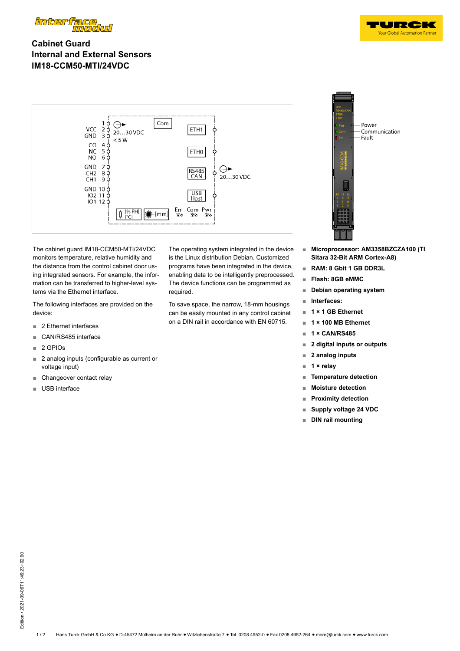

## **Cabinet Guard Internal and External Sensors IM18-CCM50-MTI/24VDC**



The cabinet guard IM18-CCM50-MTI/24VDC monitors temperature, relative humidity and the distance from the control cabinet door using integrated sensors. For example, the information can be transferred to higher-level systems via the Ethernet interface.

The following interfaces are provided on the device:

- 2 Ethernet interfaces
- **■** CAN/RS485 interface
- **■** 2 GPIOs
- **■** 2 analog inputs (configurable as current or voltage input)
- Changeover contact relay
- **■** USB interface

The operating system integrated in the device is the Linux distribution Debian. Customized programs have been integrated in the device, enabling data to be intelligently preprocessed. The device functions can be programmed as required.

To save space, the narrow, 18-mm housings can be easily mounted in any control cabinet on a DIN rail in accordance with EN 60715.



 $\blacksquare$ **Your Global Automation Partr** 

- **■ Microprocessor: AM3358BZCZA100 (TI Sitara 32-Bit ARM Cortex-A8)**
- **■ RAM: 8 Gbit 1 GB DDR3L**
- **■ Flash: 8GB eMMC**
- **■ Debian operating system**
- **■ Interfaces:**
- **■ 1 × 1 GB Ethernet**
- **■ 1 × 100 MB Ethernet**
- **■ 1 × CAN/RS485**
- **■ 2 digital inputs or outputs**
- **■ 2 analog inputs**
- **■ 1 × relay**
- **■ Temperature detection**
- **■ Moisture detection**
- **■ Proximity detection**
- **■ Supply voltage 24 VDC**
- **■ DIN rail mounting**